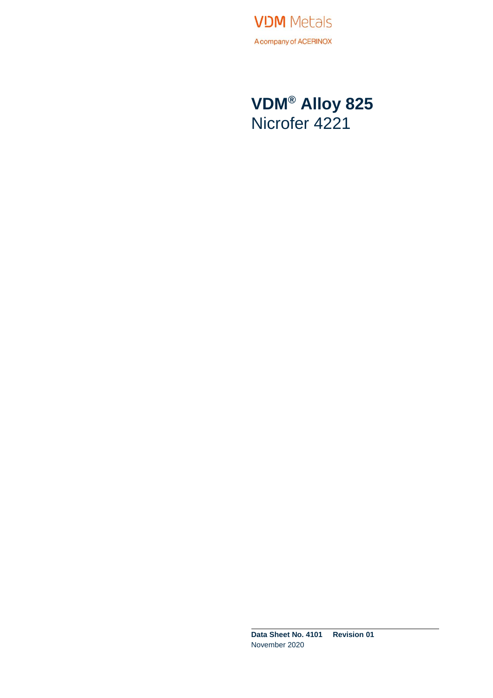**VDM** Metals A company of ACERINOX

**VDM® Alloy 825** Nicrofer 4221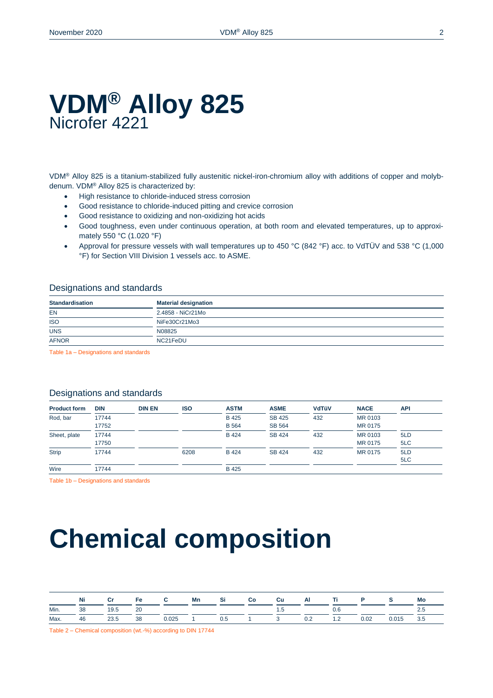### **VDM® Alloy 825** Nicrofer 4221

VDM® Alloy 825 is a titanium-stabilized fully austenitic nickel-iron-chromium alloy with additions of copper and molybdenum. VDM® Alloy 825 is characterized by:

- $\bullet$  High resistance to chloride-induced stress corrosion
- Good resistance to chloride-induced pitting and crevice corrosion
- Good resistance to oxidizing and non-oxidizing hot acids
- Good toughness, even under continuous operation, at both room and elevated temperatures, up to approximately 550 °C (1.020 °F)
- Approval for pressure vessels with wall temperatures up to 450 °C (842 °F) acc. to VdTÜV and 538 °C (1,000 °F) for Section VIII Division 1 vessels acc. to ASME.

### Designations and standards

| <b>Standardisation</b>                        | <b>Material designation</b> |
|-----------------------------------------------|-----------------------------|
| EN<br>_____                                   | 2.4858 - NiCr21Mo           |
| <b>ISO</b><br>the contract of the contract of | NiFe30Cr21Mo3               |
| <b>UNS</b>                                    | N08825                      |
| <b>AFNOR</b>                                  | NC21FeDU                    |

Table 1a – Designations and standards

### Designations and standards

| <b>Product form</b> | <b>DIN</b>     | <b>DIN EN</b> | <b>ISO</b> | <b>ASTM</b>                  | <b>ASME</b>                    | <b>VdTüV</b> | <b>NACE</b>        | <b>API</b> |
|---------------------|----------------|---------------|------------|------------------------------|--------------------------------|--------------|--------------------|------------|
| Rod, bar            | 17744<br>17752 |               |            | <b>B</b> 425<br><b>B</b> 564 | <b>SB 425</b><br><b>SB 564</b> | 432          | MR 0103<br>MR 0175 |            |
| Sheet, plate        | 17744<br>17750 |               |            | <b>B</b> 424                 | <b>SB 424</b>                  | 432          | MR 0103<br>MR 0175 | 5LD<br>5LC |
| <b>Strip</b>        | 17744          |               | 6208       | <b>B</b> 424                 | <b>SB 424</b>                  | 432          | MR 0175            | 5LD<br>5LC |
| Wire                | 17744          |               |            | B 425                        |                                |              |                    |            |

Table 1b – Designations and standards

# **Chemical composition**

|      | Ni | Сr   |    |       | Mn |     | Cu  | Al |                          | P.   |       | Mo  |
|------|----|------|----|-------|----|-----|-----|----|--------------------------|------|-------|-----|
| Min. | 38 | 19.5 | 20 |       |    |     | ה ו |    | 0.6                      |      |       |     |
| Max. | 46 | 23.5 | 38 | 0.025 |    | 0.5 |     |    | $\overline{\phantom{a}}$ | 0.02 | 0.015 | 3.5 |

Table 2 – Chemical composition (wt.-%) according to DIN 17744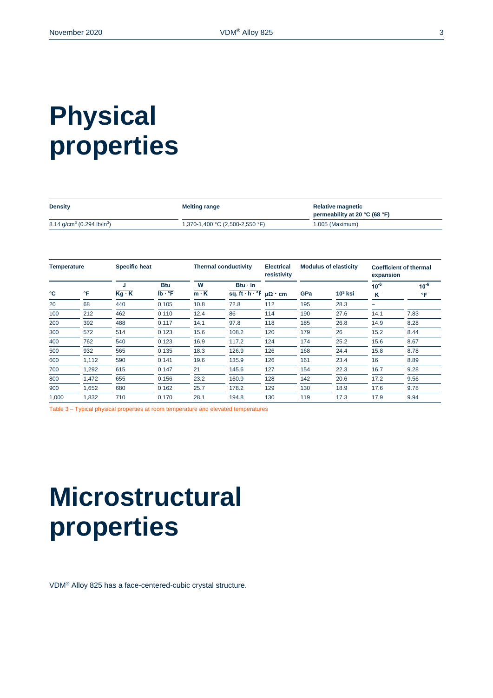# **Physical properties**

| <b>Density</b>                                     | <b>Melting range</b>            | <b>Relative magnetic</b><br>permeability at 20 °C (68 °F) |
|----------------------------------------------------|---------------------------------|-----------------------------------------------------------|
| 8.14 g/cm <sup>3</sup> (0.294 lb/in <sup>3</sup> ) | 1,370-1,400 °C (2,500-2,550 °F) | 1.005 (Maximum)                                           |

| <b>Temperature</b> |       |              | <b>Specific heat</b> |             | <b>Thermal conductivity</b><br><b>Electrical</b><br>resistivity |                      | <b>Modulus of elasticity</b> |           | <b>Coefficient of thermal</b><br>expansion |                       |
|--------------------|-------|--------------|----------------------|-------------|-----------------------------------------------------------------|----------------------|------------------------------|-----------|--------------------------------------------|-----------------------|
|                    |       | J            | <b>Btu</b>           | W           | $Btu \cdot in$                                                  |                      |                              |           | $10^{-6}$                                  | $10^{-6}$             |
| °C                 | °F    | $Kg \cdot K$ | $Ib \cdot {}^{o}F$   | $m \cdot K$ | sq. ft $\cdot$ h $\cdot$ °F                                     | $\mu\Omega \cdot cm$ | GPa                          | $103$ ksi | $\overline{\mathsf{K}}$                    | $\overline{\text{F}}$ |
| 20                 | 68    | 440          | 0.105                | 10.8        | 72.8                                                            | 112                  | 195                          | 28.3      |                                            |                       |
| 100                | 212   | 462          | 0.110                | 12.4        | 86                                                              | 114                  | 190                          | 27.6      | 14.1                                       | 7.83                  |
| 200                | 392   | 488          | 0.117                | 14.1        | 97.8                                                            | 118                  | 185                          | 26.8      | 14.9                                       | 8.28                  |
| 300                | 572   | 514          | 0.123                | 15.6        | 108.2                                                           | 120                  | 179                          | 26        | 15.2                                       | 8.44                  |
| 400                | 762   | 540          | 0.123                | 16.9        | 117.2                                                           | 124                  | 174                          | 25.2      | 15.6                                       | 8.67                  |
| 500                | 932   | 565          | 0.135                | 18.3        | 126.9                                                           | 126                  | 168                          | 24.4      | 15.8                                       | 8.78                  |
| 600                | 1,112 | 590          | 0.141                | 19.6        | 135.9                                                           | 126                  | 161                          | 23.4      | 16                                         | 8.89                  |
| 700                | 1,292 | 615          | 0.147                | 21          | 145.6                                                           | 127                  | 154                          | 22.3      | 16.7                                       | 9.28                  |
| 800                | 1,472 | 655          | 0.156                | 23.2        | 160.9                                                           | 128                  | 142                          | 20.6      | 17.2                                       | 9.56                  |
| 900                | 1,652 | 680          | 0.162                | 25.7        | 178.2                                                           | 129                  | 130                          | 18.9      | 17.6                                       | 9.78                  |
| 1,000              | 1,832 | 710          | 0.170                | 28.1        | 194.8                                                           | 130                  | 119                          | 17.3      | 17.9                                       | 9.94                  |

Table 3 – Typical physical properties at room temperature and elevated temperatures

# **Microstructural properties**

VDM® Alloy 825 has a face-centered-cubic crystal structure.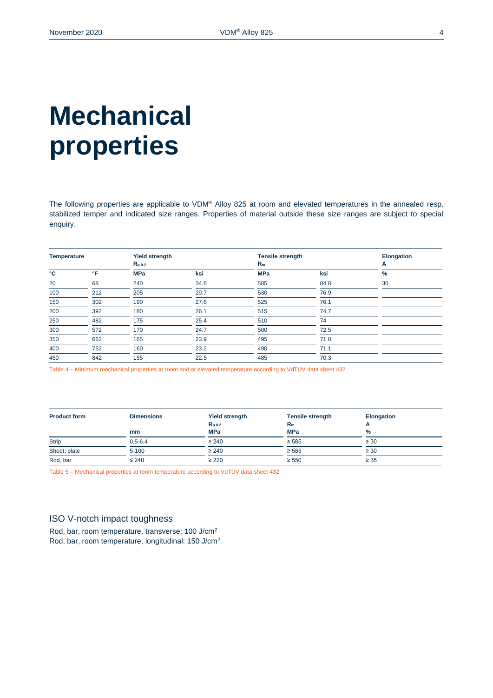# **Mechanical properties**

The following properties are applicable to VDM® Alloy 825 at room and elevated temperatures in the annealed resp. stabilized temper and indicated size ranges. Properties of material outside these size ranges are subject to special enquiry.

| <b>Temperature</b> |              | <b>Yield strength</b> |      | <b>Tensile strength</b> |      | <b>Elongation</b> |
|--------------------|--------------|-----------------------|------|-------------------------|------|-------------------|
|                    |              | $R_{p,0.2}$           |      | $R_m$                   |      | A                 |
| °C                 | $\mathsf{P}$ | <b>MPa</b>            | ksi  | <b>MPa</b>              | ksi  | $\%$              |
| 20                 | 68           | 240                   | 34.8 | 585                     | 84.8 | 30                |
| 100                | 212          | 205                   | 29.7 | 530                     | 76.9 |                   |
| 150                | 302          | 190                   | 27.6 | 525                     | 76.1 |                   |
| 200                | 392          | 180                   | 26.1 | 515                     | 74.7 |                   |
| 250                | 482          | 175                   | 25.4 | 510                     | 74   |                   |
| 300                | 572          | 170                   | 24.7 | 500                     | 72.5 |                   |
| 350                | 662          | 165                   | 23.9 | 495                     | 71.8 |                   |
| 400                | 752          | 160                   | 23.2 | 490                     | 71.1 |                   |
| 450                | 842          | 155                   | 22.5 | 485                     | 70.3 |                   |

Table 4 – Minimum mechanical properties at room and at elevated temperature according to VdTÜV data sheet 432

| <b>Product form</b> | <b>Dimensions</b> | <b>Yield strength</b><br>$R_{p,0.2}$ | <b>Tensile strength</b><br>$R_m$ | <b>Elongation</b> |  |
|---------------------|-------------------|--------------------------------------|----------------------------------|-------------------|--|
|                     | mm                | <b>MPa</b>                           | <b>MPa</b>                       | m<br>$\%$         |  |
| <b>Strip</b>        | $0.5 - 6.4$       | $\geq 240$                           | $\geq 585$                       | $\geq 30$         |  |
| Sheet, plate        | $5 - 100$         | $\geq 240$                           | $\geq 585$                       | $\geq 30$         |  |
| Rod, bar            | $\leq 240$        | $\geq$ 220                           | $\geq 550$                       | $\geq 35$         |  |

Table 5 – Mechanical properties at room temperature according to VdTÜV data sheet 432

### ISO V-notch impact toughness

Rod, bar, room temperature, transverse: 100 J/cm<sup>2</sup> Rod, bar, room temperature, longitudinal: 150 J/cm2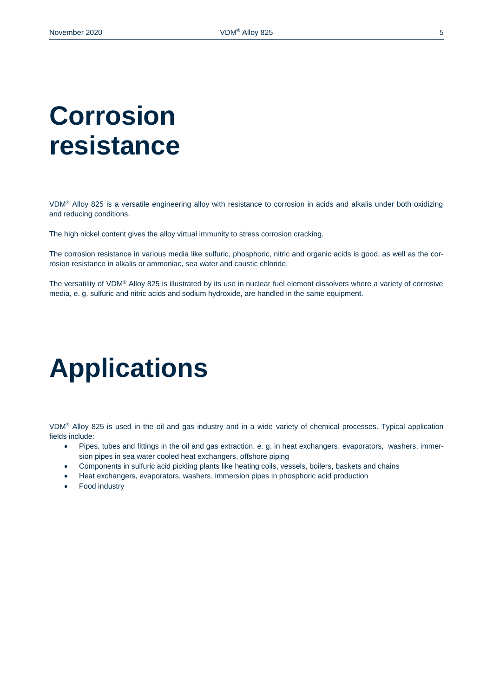# **Corrosion resistance**

VDM® Alloy 825 is a versatile engineering alloy with resistance to corrosion in acids and alkalis under both oxidizing and reducing conditions.

The high nickel content gives the alloy virtual immunity to stress corrosion cracking.

The corrosion resistance in various media like sulfuric, phosphoric, nitric and organic acids is good, as well as the corrosion resistance in alkalis or ammoniac, sea water and caustic chloride.

The versatility of VDM® Alloy 825 is illustrated by its use in nuclear fuel element dissolvers where a variety of corrosive media, e. g. sulfuric and nitric acids and sodium hydroxide, are handled in the same equipment.

### **Applications**

VDM® Alloy 825 is used in the oil and gas industry and in a wide variety of chemical processes. Typical application fields include:

- Pipes, tubes and fittings in the oil and gas extraction, e. g. in heat exchangers, evaporators, washers, immersion pipes in sea water cooled heat exchangers, offshore piping
- Components in sulfuric acid pickling plants like heating coils, vessels, boilers, baskets and chains
- Heat exchangers, evaporators, washers, immersion pipes in phosphoric acid production
- Food industry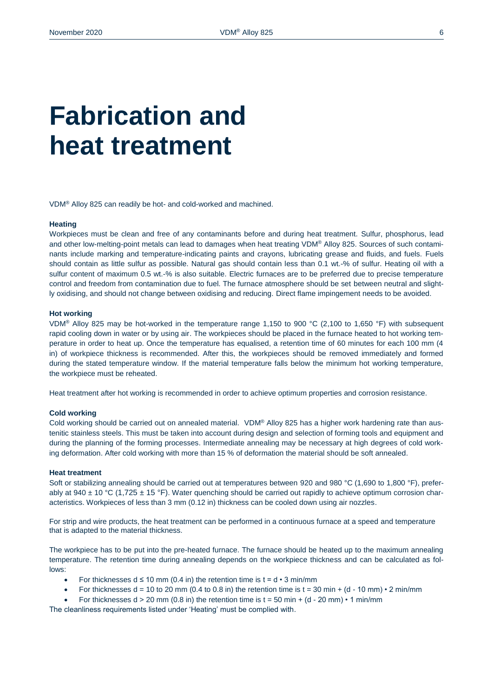## **Fabrication and heat treatment**

VDM® Alloy 825 can readily be hot- and cold-worked and machined.

#### **Heating**

Workpieces must be clean and free of any contaminants before and during heat treatment. Sulfur, phosphorus, lead and other low-melting-point metals can lead to damages when heat treating VDM® Alloy 825. Sources of such contaminants include marking and temperature-indicating paints and crayons, lubricating grease and fluids, and fuels. Fuels should contain as little sulfur as possible. Natural gas should contain less than 0.1 wt.-% of sulfur. Heating oil with a sulfur content of maximum 0.5 wt.-% is also suitable. Electric furnaces are to be preferred due to precise temperature control and freedom from contamination due to fuel. The furnace atmosphere should be set between neutral and slightly oxidising, and should not change between oxidising and reducing. Direct flame impingement needs to be avoided.

#### **Hot working**

VDM® Alloy 825 may be hot-worked in the temperature range 1,150 to 900 °C (2,100 to 1,650 °F) with subsequent rapid cooling down in water or by using air. The workpieces should be placed in the furnace heated to hot working temperature in order to heat up. Once the temperature has equalised, a retention time of 60 minutes for each 100 mm (4 in) of workpiece thickness is recommended. After this, the workpieces should be removed immediately and formed during the stated temperature window. If the material temperature falls below the minimum hot working temperature, the workpiece must be reheated.

Heat treatment after hot working is recommended in order to achieve optimum properties and corrosion resistance.

#### **Cold working**

Cold working should be carried out on annealed material. VDM® Alloy 825 has a higher work hardening rate than austenitic stainless steels. This must be taken into account during design and selection of forming tools and equipment and during the planning of the forming processes. Intermediate annealing may be necessary at high degrees of cold working deformation. After cold working with more than 15 % of deformation the material should be soft annealed.

#### **Heat treatment**

Soft or stabilizing annealing should be carried out at temperatures between 920 and 980 °C (1,690 to 1,800 °F), preferably at 940  $\pm$  10 °C (1,725  $\pm$  15 °F). Water quenching should be carried out rapidly to achieve optimum corrosion characteristics. Workpieces of less than 3 mm (0.12 in) thickness can be cooled down using air nozzles.

For strip and wire products, the heat treatment can be performed in a continuous furnace at a speed and temperature that is adapted to the material thickness.

The workpiece has to be put into the pre-heated furnace. The furnace should be heated up to the maximum annealing temperature. The retention time during annealing depends on the workpiece thickness and can be calculated as follows:

- For thicknesses  $d \le 10$  mm (0.4 in) the retention time is  $t = d \cdot 3$  min/mm
- For thicknesses  $d = 10$  to 20 mm (0.4 to 0.8 in) the retention time is  $t = 30$  min + (d 10 mm)  $\cdot$  2 min/mm
- For thicknesses  $d > 20$  mm (0.8 in) the retention time is  $t = 50$  min + (d 20 mm)  $\cdot$  1 min/mm

The cleanliness requirements listed under 'Heating' must be complied with.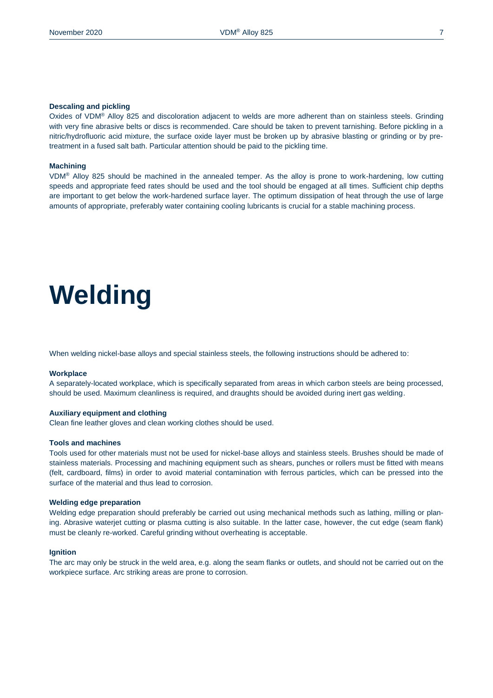#### **Descaling and pickling**

Oxides of VDM® Alloy 825 and discoloration adjacent to welds are more adherent than on stainless steels. Grinding with very fine abrasive belts or discs is recommended. Care should be taken to prevent tarnishing. Before pickling in a nitric/hydrofluoric acid mixture, the surface oxide layer must be broken up by abrasive blasting or grinding or by pretreatment in a fused salt bath. Particular attention should be paid to the pickling time.

#### **Machining**

VDM® Alloy 825 should be machined in the annealed temper. As the alloy is prone to work-hardening, low cutting speeds and appropriate feed rates should be used and the tool should be engaged at all times. Sufficient chip depths are important to get below the work-hardened surface layer. The optimum dissipation of heat through the use of large amounts of appropriate, preferably water containing cooling lubricants is crucial for a stable machining process.

# **Welding**

When welding nickel-base alloys and special stainless steels, the following instructions should be adhered to:

#### **Workplace**

A separately-located workplace, which is specifically separated from areas in which carbon steels are being processed, should be used. Maximum cleanliness is required, and draughts should be avoided during inert gas welding.

#### **Auxiliary equipment and clothing**

Clean fine leather gloves and clean working clothes should be used.

#### **Tools and machines**

Tools used for other materials must not be used for nickel-base alloys and stainless steels. Brushes should be made of stainless materials. Processing and machining equipment such as shears, punches or rollers must be fitted with means (felt, cardboard, films) in order to avoid material contamination with ferrous particles, which can be pressed into the surface of the material and thus lead to corrosion.

#### **Welding edge preparation**

Welding edge preparation should preferably be carried out using mechanical methods such as lathing, milling or planing. Abrasive waterjet cutting or plasma cutting is also suitable. In the latter case, however, the cut edge (seam flank) must be cleanly re-worked. Careful grinding without overheating is acceptable.

#### **Ignition**

The arc may only be struck in the weld area, e.g. along the seam flanks or outlets, and should not be carried out on the workpiece surface. Arc striking areas are prone to corrosion.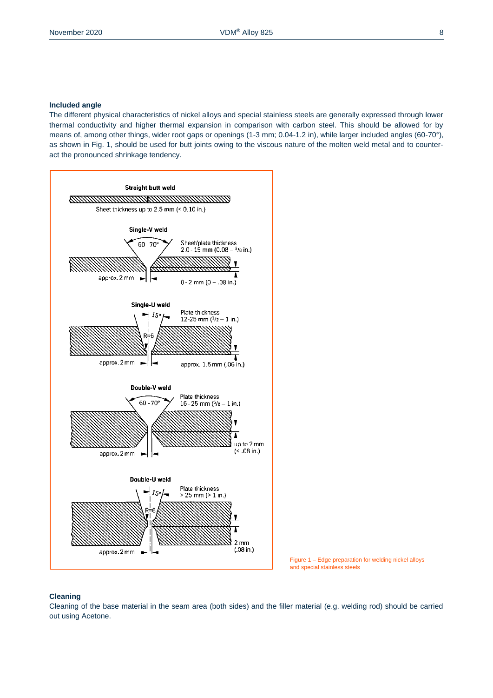#### **Included angle**

The different physical characteristics of nickel alloys and special stainless steels are generally expressed through lower thermal conductivity and higher thermal expansion in comparison with carbon steel. This should be allowed for by means of, among other things, wider root gaps or openings (1-3 mm; 0.04-1.2 in), while larger included angles (60-70°), as shown in Fig. 1, should be used for butt joints owing to the viscous nature of the molten weld metal and to counteract the pronounced shrinkage tendency.





#### **Cleaning**

Cleaning of the base material in the seam area (both sides) and the filler material (e.g. welding rod) should be carried out using Acetone.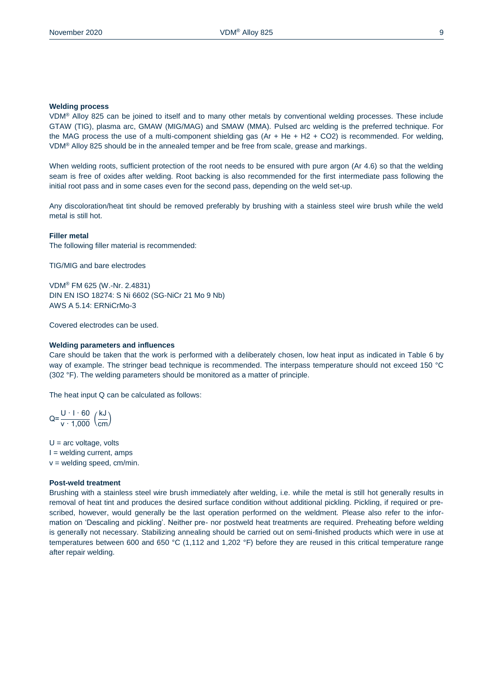#### **Welding process**

VDM® Alloy 825 can be joined to itself and to many other metals by conventional welding processes. These include GTAW (TIG), plasma arc, GMAW (MIG/MAG) and SMAW (MMA). Pulsed arc welding is the preferred technique. For the MAG process the use of a multi-component shielding gas (Ar + He + H2 + CO2) is recommended. For welding, VDM® Alloy 825 should be in the annealed temper and be free from scale, grease and markings.

When welding roots, sufficient protection of the root needs to be ensured with pure argon (Ar 4.6) so that the welding seam is free of oxides after welding. Root backing is also recommended for the first intermediate pass following the initial root pass and in some cases even for the second pass, depending on the weld set-up.

Any discoloration/heat tint should be removed preferably by brushing with a stainless steel wire brush while the weld metal is still hot.

### **Filler metal**

The following filler material is recommended:

TIG/MIG and bare electrodes

VDM® FM 625 (W.-Nr. 2.4831) DIN EN ISO 18274: S Ni 6602 (SG-NiCr 21 Mo 9 Nb) AWS A 5.14: ERNiCrMo-3

Covered electrodes can be used.

#### **Welding parameters and influences**

Care should be taken that the work is performed with a deliberately chosen, low heat input as indicated in Table 6 by way of example. The stringer bead technique is recommended. The interpass temperature should not exceed 150 °C (302 °F). The welding parameters should be monitored as a matter of principle.

The heat input Q can be calculated as follows:

$$
Q = \frac{U \cdot 1 \cdot 60}{v \cdot 1,000} \left(\frac{kJ}{cm}\right)
$$

 $U = arc$  voltage, volts  $I =$  welding current, amps v = welding speed, cm/min.

#### **Post-weld treatment**

Brushing with a stainless steel wire brush immediately after welding, i.e. while the metal is still hot generally results in removal of heat tint and produces the desired surface condition without additional pickling. Pickling, if required or prescribed, however, would generally be the last operation performed on the weldment. Please also refer to the information on 'Descaling and pickling'. Neither pre- nor postweld heat treatments are required. Preheating before welding is generally not necessary. Stabilizing annealing should be carried out on semi-finished products which were in use at temperatures between 600 and 650 °C (1,112 and 1,202 °F) before they are reused in this critical temperature range after repair welding.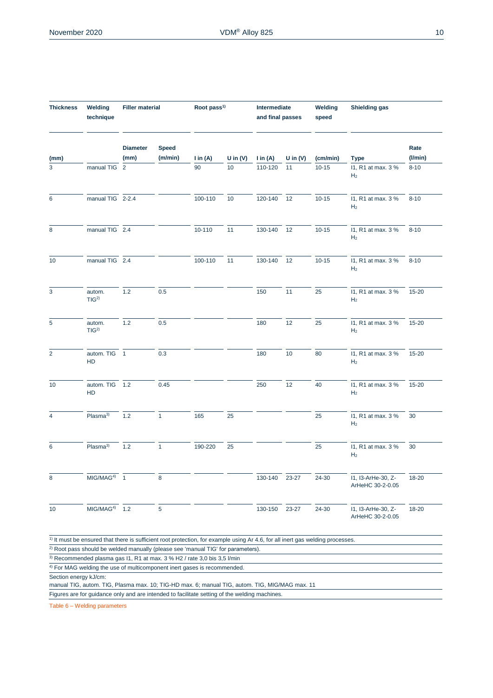| <b>Thickness</b>      | Welding<br>technique                                                                                                                                                                                                                                                                                                                                                                                                 | <b>Filler material</b>  |                         | Root pass <sup>1)</sup> |            | Intermediate<br>and final passes |            | Welding<br>speed | Shielding gas                          |                 |
|-----------------------|----------------------------------------------------------------------------------------------------------------------------------------------------------------------------------------------------------------------------------------------------------------------------------------------------------------------------------------------------------------------------------------------------------------------|-------------------------|-------------------------|-------------------------|------------|----------------------------------|------------|------------------|----------------------------------------|-----------------|
| (mm)                  |                                                                                                                                                                                                                                                                                                                                                                                                                      | <b>Diameter</b><br>(mm) | <b>Speed</b><br>(m/min) | $\ln(A)$                | U in $(V)$ | $\mathsf{lin}(\mathsf{A})$       | U in $(V)$ | (cm/min)         | <b>Type</b>                            | Rate<br>(1/min) |
| 3                     | manual TIG 2                                                                                                                                                                                                                                                                                                                                                                                                         |                         |                         | 90                      | 10         | 110-120                          | 11         | $10 - 15$        | 11, R1 at max. 3 %<br>H <sub>2</sub>   | $8 - 10$        |
| 6                     | manual TIG 2-2.4                                                                                                                                                                                                                                                                                                                                                                                                     |                         |                         | 100-110                 | 10         | 120-140                          | 12         | $10 - 15$        | 11, R1 at max. 3 %<br>H <sub>2</sub>   | $8 - 10$        |
| 8                     | manual TIG 2.4                                                                                                                                                                                                                                                                                                                                                                                                       |                         |                         | 10-110                  | 11         | 130-140                          | 12         | $10 - 15$        | 11, R1 at max. 3 %<br>H <sub>2</sub>   | $8 - 10$        |
| 10                    | manual TIG 2.4                                                                                                                                                                                                                                                                                                                                                                                                       |                         |                         | 100-110                 | 11         | 130-140                          | 12         | $10 - 15$        | 11, R1 at max. 3 %<br>H <sub>2</sub>   | $8 - 10$        |
| 3                     | autom.<br>TIG <sup>2</sup>                                                                                                                                                                                                                                                                                                                                                                                           | 1.2                     | 0.5                     |                         |            | 150                              | 11         | 25               | 11, R1 at max. 3 %<br>H <sub>2</sub>   | $15 - 20$       |
| 5                     | autom.<br>TIG <sup>2</sup>                                                                                                                                                                                                                                                                                                                                                                                           | 1.2                     | 0.5                     |                         |            | 180                              | 12         | 25               | 11, R1 at max. 3 %<br>H <sub>2</sub>   | 15-20           |
| $\overline{2}$        | autom. TIG 1<br>HD                                                                                                                                                                                                                                                                                                                                                                                                   |                         | 0.3                     |                         |            | 180                              | 10         | 80               | 11, R1 at max. 3 %<br>H <sub>2</sub>   | 15-20           |
| 10                    | autom. TIG 1.2<br>HD                                                                                                                                                                                                                                                                                                                                                                                                 |                         | 0.45                    |                         |            | 250                              | 12         | 40               | 11, R1 at max. 3 %<br>H <sub>2</sub>   | 15-20           |
| $\overline{4}$        | Plasma <sup>3)</sup>                                                                                                                                                                                                                                                                                                                                                                                                 | 1.2                     | $\mathbf{1}$            | 165                     | 25         |                                  |            | 25               | 11, R1 at max. 3 %<br>H <sub>2</sub>   | 30              |
| 6                     | Plasma <sup>3)</sup>                                                                                                                                                                                                                                                                                                                                                                                                 | 1.2                     | $\mathbf{1}$            | 190-220                 | 25         |                                  |            | 25               | 11, R1 at max. 3 %<br>H <sub>2</sub>   | 30              |
| 8                     | $MIG/MAG4$ 1                                                                                                                                                                                                                                                                                                                                                                                                         |                         | 8                       |                         |            | 130-140                          | 23-27      | 24-30            | 11, I3-ArHe-30, Z-<br>ArHeHC 30-2-0.05 | 18-20           |
| 10                    | $MIG/MAG4$ 1.2                                                                                                                                                                                                                                                                                                                                                                                                       |                         | $5\phantom{.0}$         |                         |            | 130-150                          | 23-27      | 24-30            | 11, I3-ArHe-30, Z-<br>ArHeHC 30-2-0.05 | 18-20           |
| Section energy kJ/cm: | $1$ ) It must be ensured that there is sufficient root protection, for example using Ar 4.6, for all inert gas welding processes.<br><sup>2)</sup> Root pass should be welded manually (please see 'manual TIG' for parameters).<br><sup>3)</sup> Recommended plasma gas I1, R1 at max. 3 % H2 / rate 3,0 bis 3,5 l/min<br><sup>4)</sup> For MAG welding the use of multicomponent inert gases is recommended.<br>T1 |                         | $10.710$ UD $m$         |                         |            | T1                               |            |                  |                                        |                 |

manual TIG, autom. TIG, Plasma max. 10; TIG-HD max. 6; manual TIG, autom. TIG, MIG/MAG max. 11

Figures are for guidance only and are intended to facilitate setting of the welding machines.

Table 6 – Welding parameters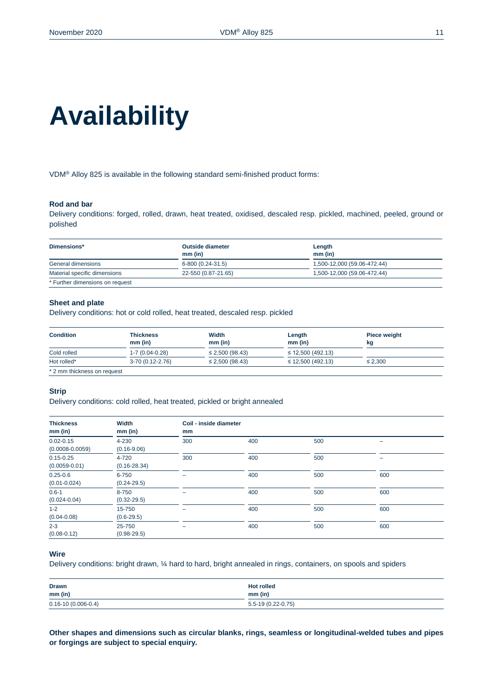# **Availability**

VDM® Alloy 825 is available in the following standard semi-finished product forms:

#### **Rod and bar**

Delivery conditions: forged, rolled, drawn, heat treated, oxidised, descaled resp. pickled, machined, peeled, ground or polished

| Dimensions*                     | <b>Outside diameter</b><br>$mm$ (in) | Length<br>$mm$ (in)         |
|---------------------------------|--------------------------------------|-----------------------------|
| General dimensions              | 6-800 (0.24-31.5)                    | 1,500-12,000 (59.06-472.44) |
| Material specific dimensions    | 22-550 (0.87-21.65)                  | 1,500-12,000 (59.06-472.44) |
| * Further dimensions on request |                                      |                             |

#### **Sheet and plate**

Delivery conditions: hot or cold rolled, heat treated, descaled resp. pickled

| <b>Condition</b>            | Thickness            | Width                | Length<br>$mm$ (in)    | Piece weight |
|-----------------------------|----------------------|----------------------|------------------------|--------------|
|                             | $mm$ (in)            | $mm$ (in)            |                        | kg           |
| Cold rolled                 | $1 - 7(0.04 - 0.28)$ | $\leq$ 2,500 (98.43) | $\leq$ 12,500 (492.13) |              |
| Hot rolled*                 | $3-70(0.12-2.76)$    | $\leq$ 2,500 (98.43) | $\leq$ 12,500 (492.13) | $\leq$ 2.300 |
| * 2 mm thickness on request |                      |                      |                        |              |

#### **Strip**

Delivery conditions: cold rolled, heat treated, pickled or bright annealed

| <b>Thickness</b><br>$mm$ (in)        | Width<br>$mm$ (in)        | Coil - inside diameter<br>mm |     |     |     |
|--------------------------------------|---------------------------|------------------------------|-----|-----|-----|
| $0.02 - 0.15$<br>$(0.0008 - 0.0059)$ | 4-230<br>$(0.16 - 9.06)$  | 300                          | 400 | 500 |     |
| $0.15 - 0.25$<br>$(0.0059 - 0.01)$   | 4-720<br>$(0.16 - 28.34)$ | 300                          | 400 | 500 | -   |
| $0.25 - 0.6$<br>$(0.01 - 0.024)$     | 6-750<br>$(0.24 - 29.5)$  | -                            | 400 | 500 | 600 |
| $0.6 - 1$<br>$(0.024 - 0.04)$        | 8-750<br>$(0.32 - 29.5)$  | -                            | 400 | 500 | 600 |
| $1 - 2$<br>$(0.04 - 0.08)$           | 15-750<br>$(0.6 - 29.5)$  | ۰                            | 400 | 500 | 600 |
| $2 - 3$<br>$(0.08 - 0.12)$           | 25-750<br>$(0.98 - 29.5)$ | -                            | 400 | 500 | 600 |

### **Wire**

Delivery conditions: bright drawn, ¼ hard to hard, bright annealed in rings, containers, on spools and spiders

| <b>Drawn</b>             | <b>Hot rolled</b>   |
|--------------------------|---------------------|
| $mm$ (in)<br>_______     | $mm$ (in)           |
| $0.16 - 10(0.006 - 0.4)$ | $5.5-19(0.22-0.75)$ |

**Other shapes and dimensions such as circular blanks, rings, seamless or longitudinal-welded tubes and pipes or forgings are subject to special enquiry.**